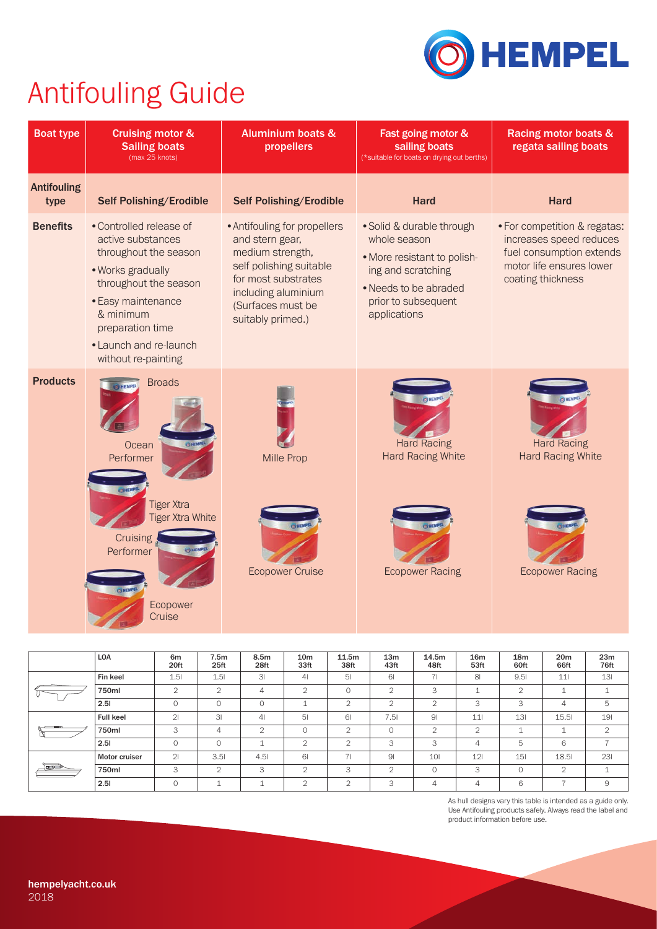As hull designs vary this table is intended as a guide only. Use Antifouling products safely. Always read the label and product information before use.

|               | <b>LOA</b>           | 6 <sub>m</sub><br>20ft | 7.5m<br>25ft   | 8.5m<br>28ft   | 10 <sub>m</sub><br>33ft | 11.5m<br>38ft   | 13 <sub>m</sub><br>43ft | 14.5m<br>48ft   | <b>16m</b><br>53ft | 18m<br>60ft | 20 <sub>m</sub><br>66ft | 23m<br>76ft    |
|---------------|----------------------|------------------------|----------------|----------------|-------------------------|-----------------|-------------------------|-----------------|--------------------|-------------|-------------------------|----------------|
|               | Fin keel             | 1.51                   | 1.51           | 3 <sub>l</sub> | 4 <sub>l</sub>          | 5 <sub>l</sub>  | 61                      | 71              | 8 <sup>1</sup>     | 9.51        | 11                      | 131            |
|               | 750ml                | 2                      | 2              | 4              | 2                       | $\Omega$        | 2                       | 3               |                    | 2           |                         |                |
|               | 2.51                 | 0                      | $\Omega$       | $\Omega$       |                         | $\bigcirc$<br>∠ | 2                       | 2               | 3                  | 3           | 4                       | 5              |
|               | <b>Full keel</b>     | 2 <sub>l</sub>         | 3 <sup>l</sup> | 4 <sub>l</sub> | 5 <sub>l</sub>          | 61              | 7.51                    | 9 <sub>l</sub>  | 11                 | 13I         | 15.51                   | 191            |
|               | 750ml                | 3                      | 4              | 2              | $\overline{O}$          | $\overline{2}$  | $\Omega$                | 2               | $\mathcal{L}$<br>∠ |             |                         | $\overline{2}$ |
|               | 2.51                 | $\circ$                | $\overline{0}$ |                | 2                       | $\bigcap$       | 3                       | 3               | 4                  | 5           | 6                       |                |
| م <u>سمار</u> | <b>Motor cruiser</b> | 21                     | 3.51           | 4.51           | 61                      | 71              | 9 <sub>l</sub>          | 10 <sub>l</sub> | 121                | 151         | 18.51                   | 231            |
|               | 750ml                | 3                      | 2              | 3              | $\bigcirc$<br>∠         | 3               | 2                       | $\circ$         | 3                  | $\Omega$    | 2                       |                |
|               | 2.51                 | $\Omega$               |                |                | $\mathcal{D}$           | 2               | 3                       | 4               | 4                  | 6           |                         | 9              |



## Antifouling Guide

| <b>Boat type</b>           | <b>Cruising motor &amp;</b><br><b>Sailing boats</b><br>(max 25 knots)                                                                                                                                                       | <b>Aluminium boats &amp;</b><br>propellers                                                                                                                                             | Fast going motor &<br>sailing boats<br>(*suitable for boats on drying out berths)                                                                              | <b>Racing motor boats &amp;</b><br>regata sailing boats                                                                              |  |
|----------------------------|-----------------------------------------------------------------------------------------------------------------------------------------------------------------------------------------------------------------------------|----------------------------------------------------------------------------------------------------------------------------------------------------------------------------------------|----------------------------------------------------------------------------------------------------------------------------------------------------------------|--------------------------------------------------------------------------------------------------------------------------------------|--|
| <b>Antifouling</b><br>type | <b>Self Polishing/Erodible</b>                                                                                                                                                                                              | <b>Self Polishing/Erodible</b>                                                                                                                                                         | <b>Hard</b>                                                                                                                                                    | <b>Hard</b>                                                                                                                          |  |
| <b>Benefits</b>            | • Controlled release of<br>active substances<br>throughout the season<br>• Works gradually<br>throughout the season<br>• Easy maintenance<br>& minimum<br>preparation time<br>• Launch and re-launch<br>without re-painting | • Antifouling for propellers<br>and stern gear,<br>medium strength,<br>self polishing suitable<br>for most substrates<br>including aluminium<br>(Surfaces must be<br>suitably primed.) | • Solid & durable through<br>whole season<br>• More resistant to polish-<br>ing and scratching<br>• Needs to be abraded<br>prior to subsequent<br>applications | • For competition & regatas:<br>increases speed reduces<br>fuel consumption extends<br>motor life ensures lower<br>coating thickness |  |
| <b>Products</b>            | <b>Broads</b><br>Ocean<br>Performer<br><b>Tiger Xtra</b><br><b>Tiger Xtra White</b><br>Cruising<br>Performer<br>Ecopower<br>Cruise                                                                                          | <b>Mille Prop</b><br><b>Ecopower Cruise</b>                                                                                                                                            | <b>Hard Racing</b><br><b>Hard Racing White</b><br><b>Ecopower Racing</b>                                                                                       | <b>Hard Racing</b><br><b>Hard Racing White</b><br><b>Ecopower Racing</b>                                                             |  |

## hempelyacht.co.uk 2018